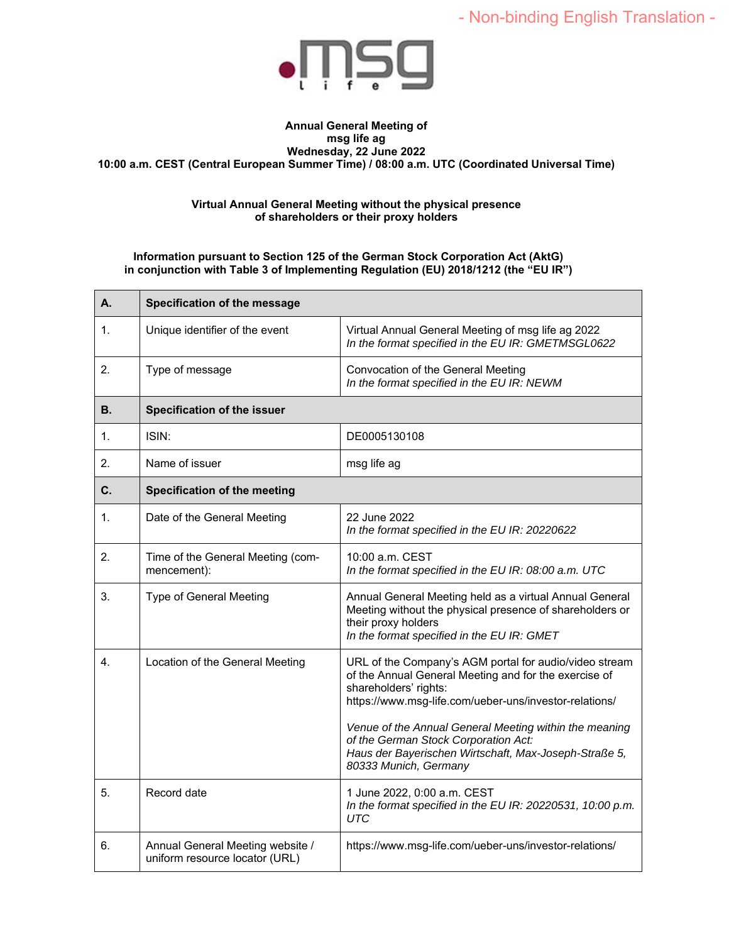

### **Annual General Meeting of msg life ag Wednesday, 22 June 2022 10:00 a.m. CEST (Central European Summer Time) / 08:00 a.m. UTC (Coordinated Universal Time)**

#### **Virtual Annual General Meeting without the physical presence of shareholders or their proxy holders**

### **Information pursuant to Section 125 of the German Stock Corporation Act (AktG) in conjunction with Table 3 of Implementing Regulation (EU) 2018/1212 (the "EU IR")**

| А.             | Specification of the message                                       |                                                                                                                                                                                                                                                                                                                                                                                        |  |
|----------------|--------------------------------------------------------------------|----------------------------------------------------------------------------------------------------------------------------------------------------------------------------------------------------------------------------------------------------------------------------------------------------------------------------------------------------------------------------------------|--|
| 1.             | Unique identifier of the event                                     | Virtual Annual General Meeting of msg life ag 2022<br>In the format specified in the EU IR: GMETMSGL0622                                                                                                                                                                                                                                                                               |  |
| 2.             | Type of message                                                    | Convocation of the General Meeting<br>In the format specified in the EU IR: NEWM                                                                                                                                                                                                                                                                                                       |  |
| В.             | Specification of the issuer                                        |                                                                                                                                                                                                                                                                                                                                                                                        |  |
| 1.             | ISIN:                                                              | DE0005130108                                                                                                                                                                                                                                                                                                                                                                           |  |
| 2.             | Name of issuer                                                     | msg life ag                                                                                                                                                                                                                                                                                                                                                                            |  |
| $\mathbf{C}$ . | Specification of the meeting                                       |                                                                                                                                                                                                                                                                                                                                                                                        |  |
| $\mathbf 1$    | Date of the General Meeting                                        | 22 June 2022<br>In the format specified in the EU IR: 20220622                                                                                                                                                                                                                                                                                                                         |  |
| 2.             | Time of the General Meeting (com-<br>mencement):                   | 10:00 a.m. CEST<br>In the format specified in the EU IR: 08:00 a.m. UTC                                                                                                                                                                                                                                                                                                                |  |
| 3.             | Type of General Meeting                                            | Annual General Meeting held as a virtual Annual General<br>Meeting without the physical presence of shareholders or<br>their proxy holders<br>In the format specified in the EU IR: GMET                                                                                                                                                                                               |  |
| 4.             | Location of the General Meeting                                    | URL of the Company's AGM portal for audio/video stream<br>of the Annual General Meeting and for the exercise of<br>shareholders' rights:<br>https://www.msg-life.com/ueber-uns/investor-relations/<br>Venue of the Annual General Meeting within the meaning<br>of the German Stock Corporation Act:<br>Haus der Bayerischen Wirtschaft, Max-Joseph-Straße 5,<br>80333 Munich, Germany |  |
| 5.             | Record date                                                        | 1 June 2022, 0:00 a.m. CEST<br>In the format specified in the EU IR: 20220531, 10:00 p.m.<br><b>UTC</b>                                                                                                                                                                                                                                                                                |  |
| 6.             | Annual General Meeting website /<br>uniform resource locator (URL) | https://www.msg-life.com/ueber-uns/investor-relations/                                                                                                                                                                                                                                                                                                                                 |  |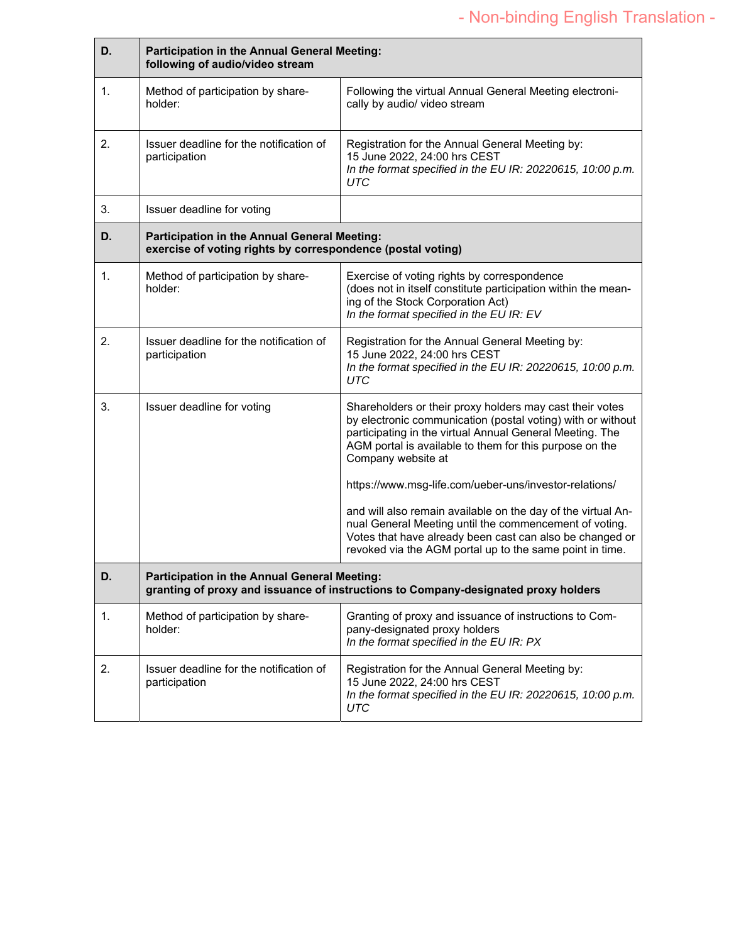| D.             | Participation in the Annual General Meeting:<br>following of audio/video stream                                                    |                                                                                                                                                                                                                                                                                                                                |
|----------------|------------------------------------------------------------------------------------------------------------------------------------|--------------------------------------------------------------------------------------------------------------------------------------------------------------------------------------------------------------------------------------------------------------------------------------------------------------------------------|
| $\mathbf{1}$ . | Method of participation by share-<br>holder:                                                                                       | Following the virtual Annual General Meeting electroni-<br>cally by audio/ video stream                                                                                                                                                                                                                                        |
| 2.             | Issuer deadline for the notification of<br>participation                                                                           | Registration for the Annual General Meeting by:<br>15 June 2022, 24:00 hrs CEST<br>In the format specified in the EU IR: 20220615, 10:00 p.m.<br>UTC                                                                                                                                                                           |
| 3.             | Issuer deadline for voting                                                                                                         |                                                                                                                                                                                                                                                                                                                                |
| D.             | Participation in the Annual General Meeting:<br>exercise of voting rights by correspondence (postal voting)                        |                                                                                                                                                                                                                                                                                                                                |
| 1.             | Method of participation by share-<br>holder:                                                                                       | Exercise of voting rights by correspondence<br>(does not in itself constitute participation within the mean-<br>ing of the Stock Corporation Act)<br>In the format specified in the EU IR: EV                                                                                                                                  |
| 2.             | Issuer deadline for the notification of<br>participation                                                                           | Registration for the Annual General Meeting by:<br>15 June 2022, 24:00 hrs CEST<br>In the format specified in the EU IR: 20220615, 10:00 p.m.<br><b>UTC</b>                                                                                                                                                                    |
| 3.             | Issuer deadline for voting                                                                                                         | Shareholders or their proxy holders may cast their votes<br>by electronic communication (postal voting) with or without<br>participating in the virtual Annual General Meeting. The<br>AGM portal is available to them for this purpose on the<br>Company website at<br>https://www.msg-life.com/ueber-uns/investor-relations/ |
|                |                                                                                                                                    | and will also remain available on the day of the virtual An-<br>nual General Meeting until the commencement of voting.<br>Votes that have already been cast can also be changed or<br>revoked via the AGM portal up to the same point in time.                                                                                 |
| D.             | Participation in the Annual General Meeting:<br>granting of proxy and issuance of instructions to Company-designated proxy holders |                                                                                                                                                                                                                                                                                                                                |
| 1.             | Method of participation by share-<br>holder:                                                                                       | Granting of proxy and issuance of instructions to Com-<br>pany-designated proxy holders<br>In the format specified in the EU IR: PX                                                                                                                                                                                            |
| 2.             | Issuer deadline for the notification of<br>participation                                                                           | Registration for the Annual General Meeting by:<br>15 June 2022, 24:00 hrs CEST<br>In the format specified in the EU IR: 20220615, 10:00 p.m.<br><b>UTC</b>                                                                                                                                                                    |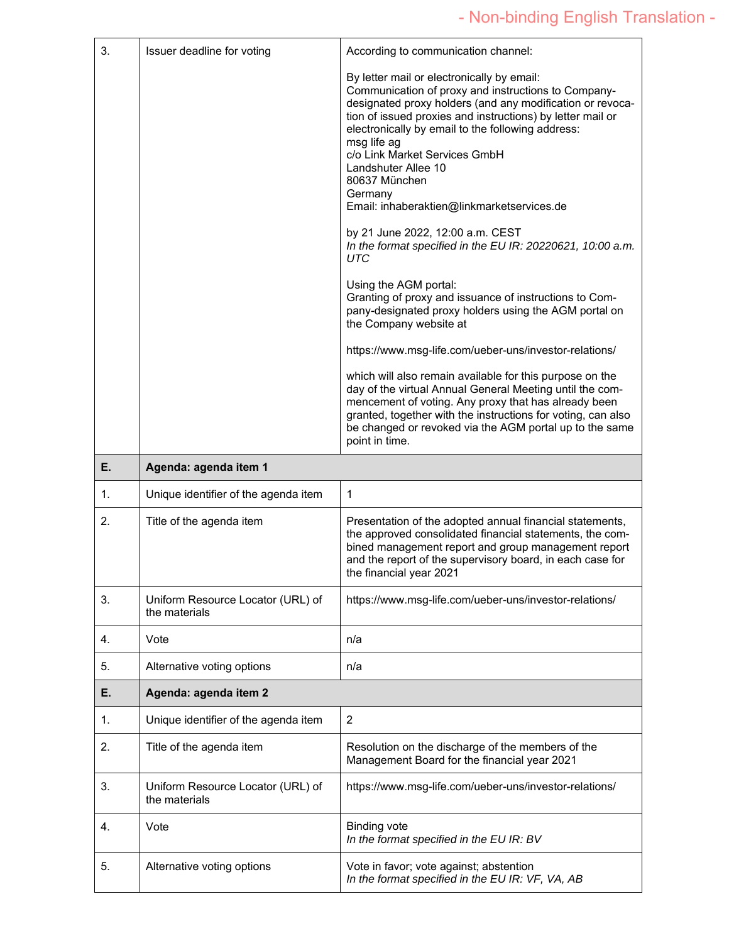| 3. | Issuer deadline for voting                         | According to communication channel:                                                                                                                                                                                                                                                                                                                                                                                                                                                                                                                                                                                                                                                                                                                                                                                                                                                                                                                                                                                                                                                    |
|----|----------------------------------------------------|----------------------------------------------------------------------------------------------------------------------------------------------------------------------------------------------------------------------------------------------------------------------------------------------------------------------------------------------------------------------------------------------------------------------------------------------------------------------------------------------------------------------------------------------------------------------------------------------------------------------------------------------------------------------------------------------------------------------------------------------------------------------------------------------------------------------------------------------------------------------------------------------------------------------------------------------------------------------------------------------------------------------------------------------------------------------------------------|
|    |                                                    | By letter mail or electronically by email:<br>Communication of proxy and instructions to Company-<br>designated proxy holders (and any modification or revoca-<br>tion of issued proxies and instructions) by letter mail or<br>electronically by email to the following address:<br>msg life ag<br>c/o Link Market Services GmbH<br>Landshuter Allee 10<br>80637 München<br>Germany<br>Email: inhaberaktien@linkmarketservices.de<br>by 21 June 2022, 12:00 a.m. CEST<br>In the format specified in the EU IR: 20220621, 10:00 a.m.<br>UTC<br>Using the AGM portal:<br>Granting of proxy and issuance of instructions to Com-<br>pany-designated proxy holders using the AGM portal on<br>the Company website at<br>https://www.msg-life.com/ueber-uns/investor-relations/<br>which will also remain available for this purpose on the<br>day of the virtual Annual General Meeting until the com-<br>mencement of voting. Any proxy that has already been<br>granted, together with the instructions for voting, can also<br>be changed or revoked via the AGM portal up to the same |
| Е. | Agenda: agenda item 1                              | point in time.                                                                                                                                                                                                                                                                                                                                                                                                                                                                                                                                                                                                                                                                                                                                                                                                                                                                                                                                                                                                                                                                         |
|    |                                                    |                                                                                                                                                                                                                                                                                                                                                                                                                                                                                                                                                                                                                                                                                                                                                                                                                                                                                                                                                                                                                                                                                        |
|    |                                                    |                                                                                                                                                                                                                                                                                                                                                                                                                                                                                                                                                                                                                                                                                                                                                                                                                                                                                                                                                                                                                                                                                        |
| 1. | Unique identifier of the agenda item               | 1                                                                                                                                                                                                                                                                                                                                                                                                                                                                                                                                                                                                                                                                                                                                                                                                                                                                                                                                                                                                                                                                                      |
| 2. | Title of the agenda item                           | Presentation of the adopted annual financial statements,<br>the approved consolidated financial statements, the com-<br>bined management report and group management report<br>and the report of the supervisory board, in each case for<br>the financial year 2021                                                                                                                                                                                                                                                                                                                                                                                                                                                                                                                                                                                                                                                                                                                                                                                                                    |
| 3. | Uniform Resource Locator (URL) of<br>the materials | https://www.msg-life.com/ueber-uns/investor-relations/                                                                                                                                                                                                                                                                                                                                                                                                                                                                                                                                                                                                                                                                                                                                                                                                                                                                                                                                                                                                                                 |
| 4. | Vote                                               | n/a                                                                                                                                                                                                                                                                                                                                                                                                                                                                                                                                                                                                                                                                                                                                                                                                                                                                                                                                                                                                                                                                                    |
| 5. | Alternative voting options                         | n/a                                                                                                                                                                                                                                                                                                                                                                                                                                                                                                                                                                                                                                                                                                                                                                                                                                                                                                                                                                                                                                                                                    |
| Е. | Agenda: agenda item 2                              |                                                                                                                                                                                                                                                                                                                                                                                                                                                                                                                                                                                                                                                                                                                                                                                                                                                                                                                                                                                                                                                                                        |
| 1. | Unique identifier of the agenda item               | $\overline{2}$                                                                                                                                                                                                                                                                                                                                                                                                                                                                                                                                                                                                                                                                                                                                                                                                                                                                                                                                                                                                                                                                         |
| 2. | Title of the agenda item                           | Resolution on the discharge of the members of the<br>Management Board for the financial year 2021                                                                                                                                                                                                                                                                                                                                                                                                                                                                                                                                                                                                                                                                                                                                                                                                                                                                                                                                                                                      |
| 3. | Uniform Resource Locator (URL) of<br>the materials | https://www.msg-life.com/ueber-uns/investor-relations/                                                                                                                                                                                                                                                                                                                                                                                                                                                                                                                                                                                                                                                                                                                                                                                                                                                                                                                                                                                                                                 |
| 4. | Vote                                               | <b>Binding vote</b><br>In the format specified in the EU IR: BV                                                                                                                                                                                                                                                                                                                                                                                                                                                                                                                                                                                                                                                                                                                                                                                                                                                                                                                                                                                                                        |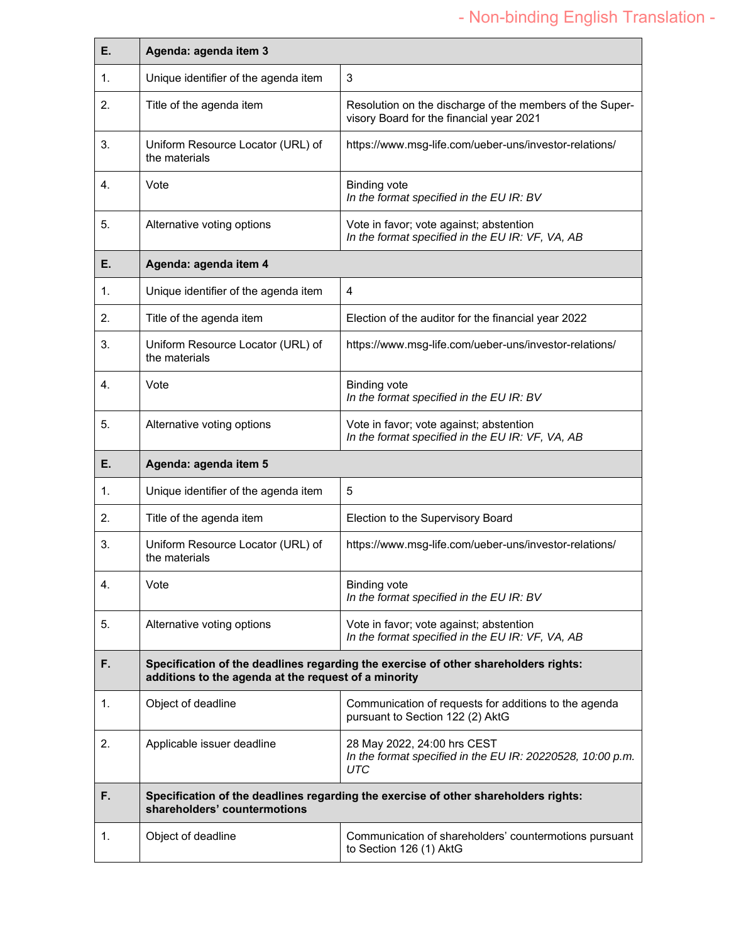# - Non-binding English Translation -

| E. | Agenda: agenda item 3                                |                                                                                                      |
|----|------------------------------------------------------|------------------------------------------------------------------------------------------------------|
| 1. | Unique identifier of the agenda item                 | 3                                                                                                    |
| 2. | Title of the agenda item                             | Resolution on the discharge of the members of the Super-<br>visory Board for the financial year 2021 |
| 3. | Uniform Resource Locator (URL) of<br>the materials   | https://www.msg-life.com/ueber-uns/investor-relations/                                               |
| 4. | Vote                                                 | <b>Binding vote</b><br>In the format specified in the EU IR: BV                                      |
| 5. | Alternative voting options                           | Vote in favor; vote against; abstention<br>In the format specified in the EU IR: VF, VA, AB          |
| Е. | Agenda: agenda item 4                                |                                                                                                      |
| 1. | Unique identifier of the agenda item                 | 4                                                                                                    |
| 2. | Title of the agenda item                             | Election of the auditor for the financial year 2022                                                  |
| 3. | Uniform Resource Locator (URL) of<br>the materials   | https://www.msg-life.com/ueber-uns/investor-relations/                                               |
| 4. | Vote                                                 | <b>Binding vote</b><br>In the format specified in the EU IR: BV                                      |
| 5. | Alternative voting options                           | Vote in favor; vote against; abstention<br>In the format specified in the EU IR: VF, VA, AB          |
|    | Agenda: agenda item 5                                |                                                                                                      |
| E. |                                                      |                                                                                                      |
| 1. | Unique identifier of the agenda item                 | 5                                                                                                    |
| 2. | Title of the agenda item                             | Election to the Supervisory Board                                                                    |
| 3. | Uniform Resource Locator (URL) of<br>the materials   | https://www.msg-life.com/ueber-uns/investor-relations/                                               |
| 4. | Vote                                                 | <b>Binding vote</b><br>In the format specified in the EU IR: BV                                      |
| 5. | Alternative voting options                           | Vote in favor; vote against; abstention<br>In the format specified in the EU IR: VF, VA, AB          |
| F. | additions to the agenda at the request of a minority | Specification of the deadlines regarding the exercise of other shareholders rights:                  |
| 1. | Object of deadline                                   | Communication of requests for additions to the agenda<br>pursuant to Section 122 (2) AktG            |
| 2. | Applicable issuer deadline                           | 28 May 2022, 24:00 hrs CEST<br>In the format specified in the EU IR: 20220528, 10:00 p.m.<br>UTC     |
| F. | shareholders' countermotions                         | Specification of the deadlines regarding the exercise of other shareholders rights:                  |